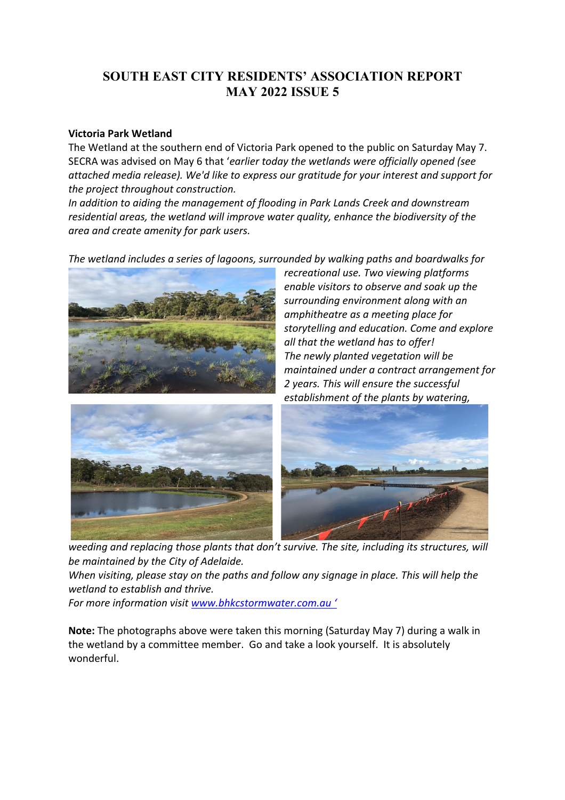# **SOUTH EAST CITY RESIDENTS' ASSOCIATION REPORT MAY 2022 ISSUE 5**

### **Victoria Park Wetland**

The Wetland at the southern end of Victoria Park opened to the public on Saturday May 7. SECRA was advised on May 6 that '*earlier today the wetlands were officially opened (see attached media release). We'd like to express our gratitude for your interest and support for the project throughout construction.*

*In addition to aiding the management of flooding in Park Lands Creek and downstream residential areas, the wetland will improve water quality, enhance the biodiversity of the area and create amenity for park users.*

*The wetland includes a series of lagoons, surrounded by walking paths and boardwalks for* 



*recreational use. Two viewing platforms enable visitors to observe and soak up the surrounding environment along with an amphitheatre as a meeting place for storytelling and education. Come and explore all that the wetland has to offer! The newly planted vegetation will be maintained under a contract arrangement for 2 years. This will ensure the successful establishment of the plants by watering,* 





*weeding and replacing those plants that don't survive. The site, including its structures, will be maintained by the City of Adelaide.*

*When visiting, please stay on the paths and follow any signage in place. This will help the wetland to establish and thrive.*

*For more information visit www.bhkcstormwater.com.au '*

**Note:** The photographs above were taken this morning (Saturday May 7) during a walk in the wetland by a committee member. Go and take a look yourself. It is absolutely wonderful.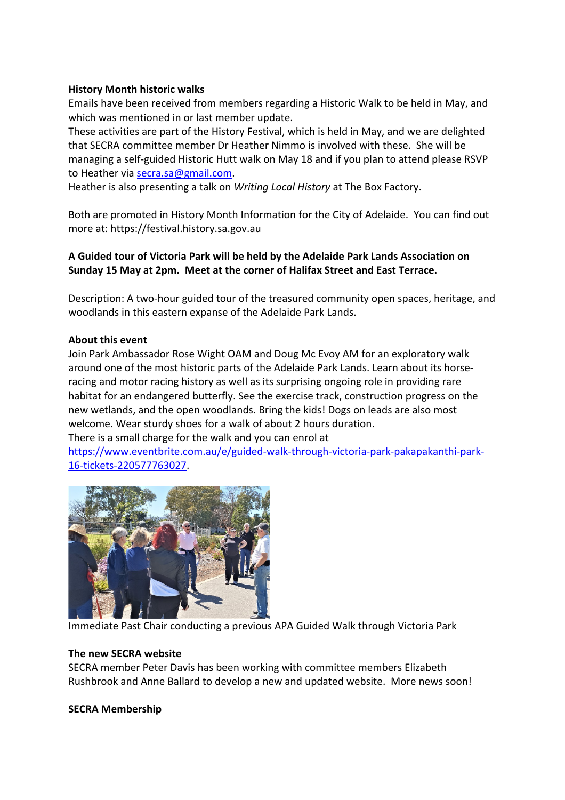## **History Month historic walks**

Emails have been received from members regarding a Historic Walk to be held in May, and which was mentioned in or last member update.

These activities are part of the History Festival, which is held in May, and we are delighted that SECRA committee member Dr Heather Nimmo is involved with these. She will be managing a self-guided Historic Hutt walk on May 18 and if you plan to attend please RSVP to Heather via secra.sa@gmail.com.

Heather is also presenting a talk on *Writing Local History* at The Box Factory.

Both are promoted in History Month Information for the City of Adelaide. You can find out more at: https://festival.history.sa.gov.au

# **A Guided tour of Victoria Park will be held by the Adelaide Park Lands Association on Sunday 15 May at 2pm. Meet at the corner of Halifax Street and East Terrace.**

Description: A two-hour guided tour of the treasured community open spaces, heritage, and woodlands in this eastern expanse of the Adelaide Park Lands.

## **About this event**

Join Park Ambassador Rose Wight OAM and Doug Mc Evoy AM for an exploratory walk around one of the most historic parts of the Adelaide Park Lands. Learn about its horseracing and motor racing history as well as its surprising ongoing role in providing rare habitat for an endangered butterfly. See the exercise track, construction progress on the new wetlands, and the open woodlands. Bring the kids! Dogs on leads are also most welcome. Wear sturdy shoes for a walk of about 2 hours duration.

There is a small charge for the walk and you can enrol at

https://www.eventbrite.com.au/e/guided-walk-through-victoria-park-pakapakanthi-park-16-tickets-220577763027.



Immediate Past Chair conducting a previous APA Guided Walk through Victoria Park

### **The new SECRA website**

SECRA member Peter Davis has been working with committee members Elizabeth Rushbrook and Anne Ballard to develop a new and updated website. More news soon!

### **SECRA Membership**